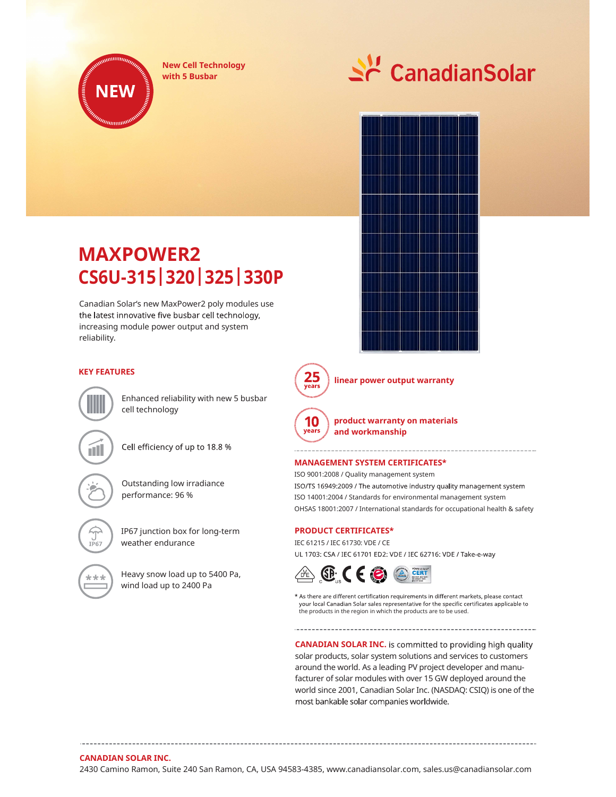

New Cell Technology





## MAXPOWER2 CS6U- 315| 320| 325| 330P

Canadian Solar's new MaxPower2 poly modules use the latest innovative five busbar cell technology, increasing module power output and system reliability.



linear power output warranty



product warranty on materials and workmanship

#### MANAGEMENT SYSTEM CERTIFICATES\*

Outstanding low irradiance **Startuge 1980** ISO/TS 16949:2009 / The automotive industry quality management system performance: 96 % ISO 14001:2004 / Standards for environmental management system ISO 9001:2008 / Quality management system OHSAS 18001:2007 / International standards for occupational health & safety

---------------------

#### PRODUCT CERTIFICATES\*

weather endurance IEC 61215 / IEC 61730: VDE / CE UL 1703: CSA / IEC 61701 ED2: VDE / IEC 62716: VDE / Take-e-way



\* As there are different certification requirements in different markets, please contact your local Canadian Solar sales representative for the specific certificates applicable to the products in the region in which the products are to be used.

**CANADIAN SOLAR INC.** is committed to providing high quality solar products, solar system solutions and services to customers around the world. As a leading PV project developer and manufacturer of solar modules with over 15 GW deployed around the world since 2001, Canadian Solar Inc. (NASDAQ: CSIQ) is one of the most bankable solar companies worldwide.

### KEY FEATURES **25**



Cell efficiency of up to 18.8 %

Enhanced reliability with new 5 busbar



cell technology

IP67 junction box for long-term

Heavy snow load up to 5400 Pa,  $\sqrt{d^2}$   $\left($   $\right)$ wind load up to 2400 Pa

### CANADIAN SOLAR INC.

2430 Camino Ramon, Suite 240 San Ramon, CA, USA 94583-4385, www.canadiansolar.com, sales.us@canadiansolar.com